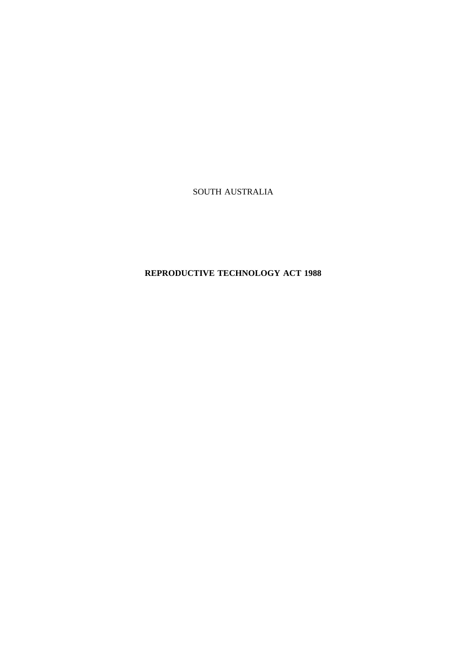SOUTH AUSTRALIA

# **REPRODUCTIVE TECHNOLOGY ACT 1988**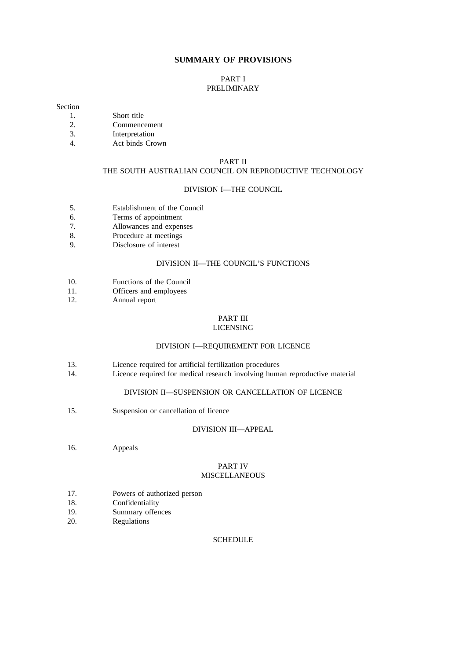#### **SUMMARY OF PROVISIONS**

#### PART I PRELIMINARY

#### Section

- 1. Short title<br>2. Commence 2. Commencement
- 3. Interpretation
- 4. Act binds Crown

#### PART II

### THE SOUTH AUSTRALIAN COUNCIL ON REPRODUCTIVE TECHNOLOGY

#### DIVISION I—THE COUNCIL

- 5. Establishment of the Council
- 6. Terms of appointment
- 7. Allowances and expenses
- 8. Procedure at meetings<br>9. Disclosure of interest
- Disclosure of interest

#### DIVISION II—THE COUNCIL'S FUNCTIONS

- 10. Functions of the Council
- 11. Officers and employees
- 12. Annual report

## PART III

#### LICENSING

#### DIVISION I—REQUIREMENT FOR LICENCE

- 13. Licence required for artificial fertilization procedures
- 14. Licence required for medical research involving human reproductive material

#### DIVISION II—SUSPENSION OR CANCELLATION OF LICENCE

15. Suspension or cancellation of licence

#### DIVISION III—APPEAL

16. Appeals

#### PART IV MISCELLANEOUS

- 17. Powers of authorized person<br>18. Confidentiality
- Confidentiality
- 19. Summary offences
- 20. Regulations

#### **SCHEDULE**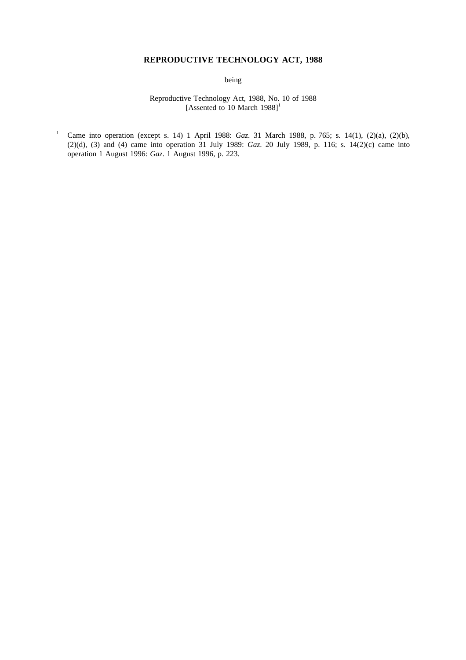## **REPRODUCTIVE TECHNOLOGY ACT, 1988**

being

Reproductive Technology Act, 1988, No. 10 of 1988 [Assented to 10 March 1988]<sup>1</sup>

<sup>1</sup> Came into operation (except s. 14) 1 April 1988: *Gaz*. 31 March 1988, p. 765; s. 14(1), (2)(a), (2)(b), (2)(d), (3) and (4) came into operation 31 July 1989: *Gaz*. 20 July 1989, p. 116; s. 14(2)(c) came into operation 1 August 1996: *Gaz*. 1 August 1996, p. 223.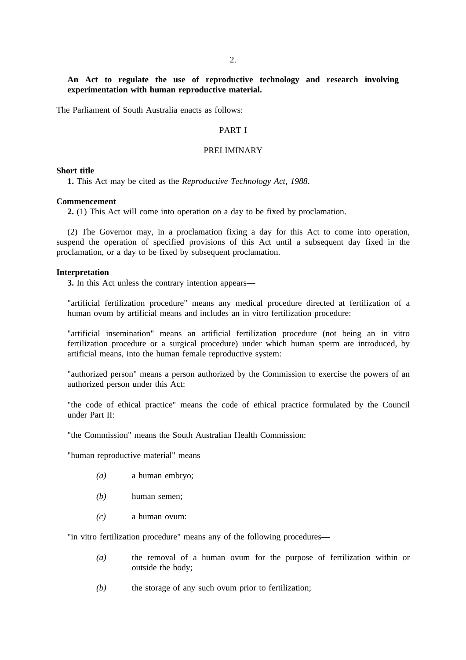#### **An Act to regulate the use of reproductive technology and research involving experimentation with human reproductive material.**

The Parliament of South Australia enacts as follows:

#### PART I

#### PRELIMINARY

#### **Short title**

**1.** This Act may be cited as the *Reproductive Technology Act, 1988*.

#### **Commencement**

**2.** (1) This Act will come into operation on a day to be fixed by proclamation.

(2) The Governor may, in a proclamation fixing a day for this Act to come into operation, suspend the operation of specified provisions of this Act until a subsequent day fixed in the proclamation, or a day to be fixed by subsequent proclamation.

#### **Interpretation**

**3.** In this Act unless the contrary intention appears—

"artificial fertilization procedure" means any medical procedure directed at fertilization of a human ovum by artificial means and includes an in vitro fertilization procedure:

"artificial insemination" means an artificial fertilization procedure (not being an in vitro fertilization procedure or a surgical procedure) under which human sperm are introduced, by artificial means, into the human female reproductive system:

"authorized person" means a person authorized by the Commission to exercise the powers of an authorized person under this Act:

"the code of ethical practice" means the code of ethical practice formulated by the Council under Part II:

"the Commission" means the South Australian Health Commission:

"human reproductive material" means—

- *(a)* a human embryo;
- *(b)* human semen;
- *(c)* a human ovum:

"in vitro fertilization procedure" means any of the following procedures—

- *(a)* the removal of a human ovum for the purpose of fertilization within or outside the body;
- *(b)* the storage of any such ovum prior to fertilization;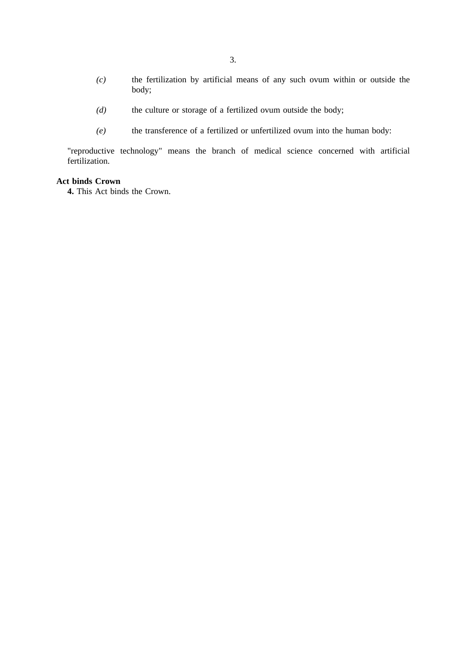- *(c)* the fertilization by artificial means of any such ovum within or outside the body;
- *(d)* the culture or storage of a fertilized ovum outside the body;
- *(e)* the transference of a fertilized or unfertilized ovum into the human body:

"reproductive technology" means the branch of medical science concerned with artificial fertilization.

#### **Act binds Crown**

**4.** This Act binds the Crown.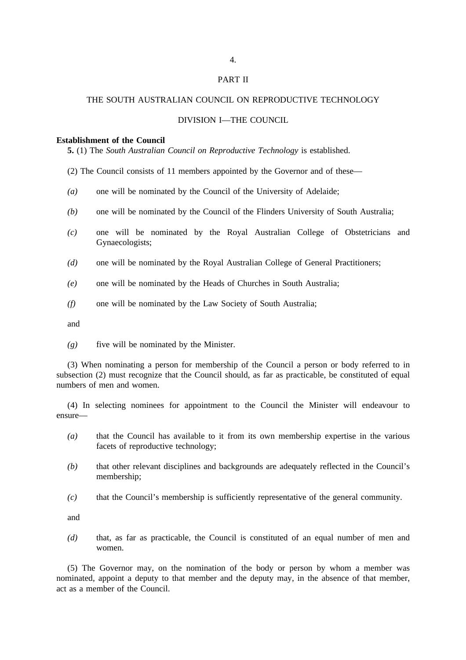# 4. PART II

#### THE SOUTH AUSTRALIAN COUNCIL ON REPRODUCTIVE TECHNOLOGY

#### DIVISION I—THE COUNCIL

#### **Establishment of the Council**

**5.** (1) The *South Australian Council on Reproductive Technology* is established.

(2) The Council consists of 11 members appointed by the Governor and of these—

- *(a)* one will be nominated by the Council of the University of Adelaide;
- *(b)* one will be nominated by the Council of the Flinders University of South Australia;
- *(c)* one will be nominated by the Royal Australian College of Obstetricians and Gynaecologists;
- *(d)* one will be nominated by the Royal Australian College of General Practitioners;
- *(e)* one will be nominated by the Heads of Churches in South Australia;
- *(f)* one will be nominated by the Law Society of South Australia;

and

*(g)* five will be nominated by the Minister.

(3) When nominating a person for membership of the Council a person or body referred to in subsection (2) must recognize that the Council should, as far as practicable, be constituted of equal numbers of men and women.

(4) In selecting nominees for appointment to the Council the Minister will endeavour to ensure—

- *(a)* that the Council has available to it from its own membership expertise in the various facets of reproductive technology;
- *(b)* that other relevant disciplines and backgrounds are adequately reflected in the Council's membership;
- *(c)* that the Council's membership is sufficiently representative of the general community.

and

*(d)* that, as far as practicable, the Council is constituted of an equal number of men and women.

(5) The Governor may, on the nomination of the body or person by whom a member was nominated, appoint a deputy to that member and the deputy may, in the absence of that member, act as a member of the Council.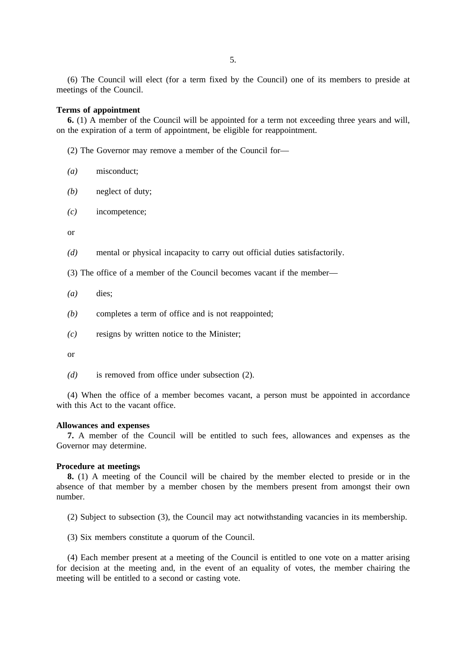(6) The Council will elect (for a term fixed by the Council) one of its members to preside at meetings of the Council.

#### **Terms of appointment**

**6.** (1) A member of the Council will be appointed for a term not exceeding three years and will, on the expiration of a term of appointment, be eligible for reappointment.

(2) The Governor may remove a member of the Council for—

- *(a)* misconduct;
- *(b)* neglect of duty;
- *(c)* incompetence;

or

*(d)* mental or physical incapacity to carry out official duties satisfactorily.

(3) The office of a member of the Council becomes vacant if the member—

- *(a)* dies;
- *(b)* completes a term of office and is not reappointed;
- *(c)* resigns by written notice to the Minister;

or

*(d)* is removed from office under subsection (2).

(4) When the office of a member becomes vacant, a person must be appointed in accordance with this Act to the vacant office.

#### **Allowances and expenses**

**7.** A member of the Council will be entitled to such fees, allowances and expenses as the Governor may determine.

#### **Procedure at meetings**

**8.** (1) A meeting of the Council will be chaired by the member elected to preside or in the absence of that member by a member chosen by the members present from amongst their own number.

(2) Subject to subsection (3), the Council may act notwithstanding vacancies in its membership.

(3) Six members constitute a quorum of the Council.

(4) Each member present at a meeting of the Council is entitled to one vote on a matter arising for decision at the meeting and, in the event of an equality of votes, the member chairing the meeting will be entitled to a second or casting vote.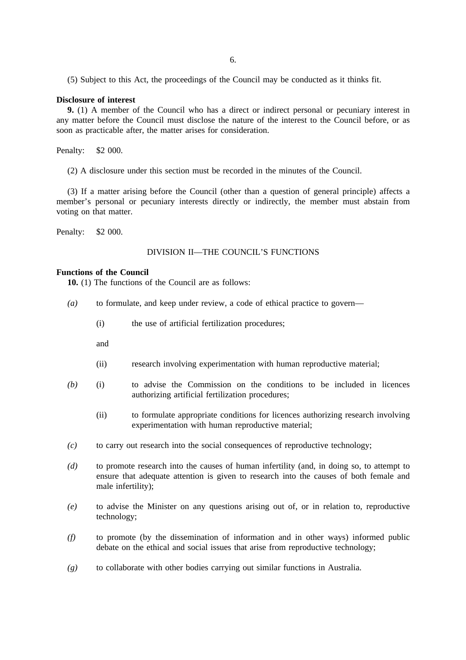(5) Subject to this Act, the proceedings of the Council may be conducted as it thinks fit.

#### **Disclosure of interest**

**9.** (1) A member of the Council who has a direct or indirect personal or pecuniary interest in any matter before the Council must disclose the nature of the interest to the Council before, or as soon as practicable after, the matter arises for consideration.

Penalty: \$2 000.

(2) A disclosure under this section must be recorded in the minutes of the Council.

(3) If a matter arising before the Council (other than a question of general principle) affects a member's personal or pecuniary interests directly or indirectly, the member must abstain from voting on that matter.

Penalty: \$2 000.

#### DIVISION II—THE COUNCIL'S FUNCTIONS

#### **Functions of the Council**

**10.** (1) The functions of the Council are as follows:

- *(a)* to formulate, and keep under review, a code of ethical practice to govern—
	- (i) the use of artificial fertilization procedures;

and

- (ii) research involving experimentation with human reproductive material;
- *(b)* (i) to advise the Commission on the conditions to be included in licences authorizing artificial fertilization procedures;
	- (ii) to formulate appropriate conditions for licences authorizing research involving experimentation with human reproductive material;
- *(c)* to carry out research into the social consequences of reproductive technology;
- *(d)* to promote research into the causes of human infertility (and, in doing so, to attempt to ensure that adequate attention is given to research into the causes of both female and male infertility);
- *(e)* to advise the Minister on any questions arising out of, or in relation to, reproductive technology;
- *(f)* to promote (by the dissemination of information and in other ways) informed public debate on the ethical and social issues that arise from reproductive technology;
- *(g)* to collaborate with other bodies carrying out similar functions in Australia.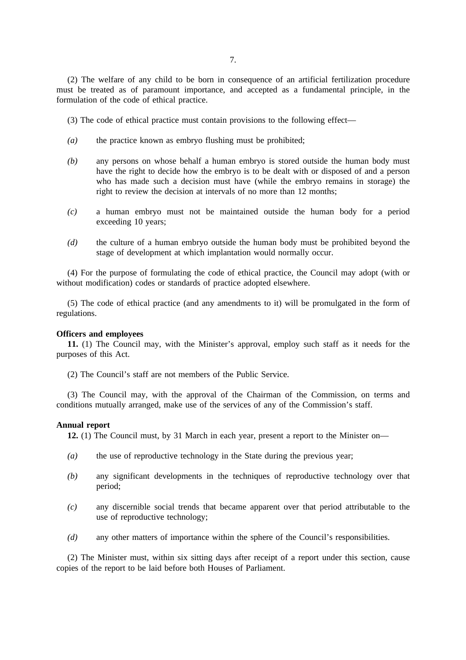(2) The welfare of any child to be born in consequence of an artificial fertilization procedure must be treated as of paramount importance, and accepted as a fundamental principle, in the formulation of the code of ethical practice.

(3) The code of ethical practice must contain provisions to the following effect—

- *(a)* the practice known as embryo flushing must be prohibited;
- *(b)* any persons on whose behalf a human embryo is stored outside the human body must have the right to decide how the embryo is to be dealt with or disposed of and a person who has made such a decision must have (while the embryo remains in storage) the right to review the decision at intervals of no more than 12 months;
- *(c)* a human embryo must not be maintained outside the human body for a period exceeding 10 years;
- *(d)* the culture of a human embryo outside the human body must be prohibited beyond the stage of development at which implantation would normally occur.

(4) For the purpose of formulating the code of ethical practice, the Council may adopt (with or without modification) codes or standards of practice adopted elsewhere.

(5) The code of ethical practice (and any amendments to it) will be promulgated in the form of regulations.

#### **Officers and employees**

**11.** (1) The Council may, with the Minister's approval, employ such staff as it needs for the purposes of this Act.

(2) The Council's staff are not members of the Public Service.

(3) The Council may, with the approval of the Chairman of the Commission, on terms and conditions mutually arranged, make use of the services of any of the Commission's staff.

#### **Annual report**

**12.** (1) The Council must, by 31 March in each year, present a report to the Minister on—

- *(a)* the use of reproductive technology in the State during the previous year;
- *(b)* any significant developments in the techniques of reproductive technology over that period;
- *(c)* any discernible social trends that became apparent over that period attributable to the use of reproductive technology;
- *(d)* any other matters of importance within the sphere of the Council's responsibilities.

(2) The Minister must, within six sitting days after receipt of a report under this section, cause copies of the report to be laid before both Houses of Parliament.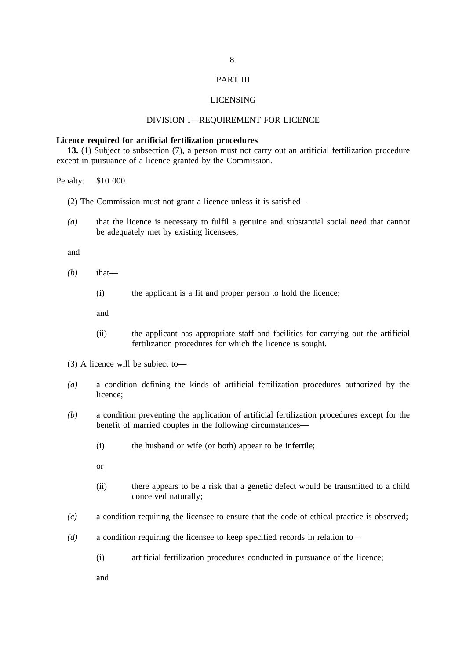#### PART III

#### LICENSING

#### DIVISION I—REQUIREMENT FOR LICENCE

#### **Licence required for artificial fertilization procedures**

**13.** (1) Subject to subsection (7), a person must not carry out an artificial fertilization procedure except in pursuance of a licence granted by the Commission.

Penalty: \$10 000.

(2) The Commission must not grant a licence unless it is satisfied—

*(a)* that the licence is necessary to fulfil a genuine and substantial social need that cannot be adequately met by existing licensees;

and

- $(b)$  that—
	- (i) the applicant is a fit and proper person to hold the licence;

and

- (ii) the applicant has appropriate staff and facilities for carrying out the artificial fertilization procedures for which the licence is sought.
- (3) A licence will be subject to—
- *(a)* a condition defining the kinds of artificial fertilization procedures authorized by the licence;
- *(b)* a condition preventing the application of artificial fertilization procedures except for the benefit of married couples in the following circumstances—
	- (i) the husband or wife (or both) appear to be infertile;
	- or
	- (ii) there appears to be a risk that a genetic defect would be transmitted to a child conceived naturally;
- *(c)* a condition requiring the licensee to ensure that the code of ethical practice is observed;
- *(d)* a condition requiring the licensee to keep specified records in relation to—
	- (i) artificial fertilization procedures conducted in pursuance of the licence;

and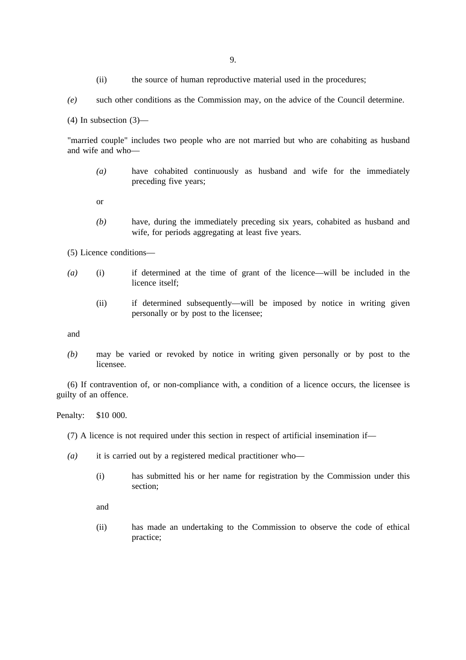(ii) the source of human reproductive material used in the procedures;

*(e)* such other conditions as the Commission may, on the advice of the Council determine.

(4) In subsection (3)—

"married couple" includes two people who are not married but who are cohabiting as husband and wife and who—

- *(a)* have cohabited continuously as husband and wife for the immediately preceding five years;
- or
- *(b)* have, during the immediately preceding six years, cohabited as husband and wife, for periods aggregating at least five years.

(5) Licence conditions—

- *(a)* (i) if determined at the time of grant of the licence—will be included in the licence itself;
	- (ii) if determined subsequently—will be imposed by notice in writing given personally or by post to the licensee;

and

*(b)* may be varied or revoked by notice in writing given personally or by post to the licensee.

(6) If contravention of, or non-compliance with, a condition of a licence occurs, the licensee is guilty of an offence.

Penalty: \$10 000.

(7) A licence is not required under this section in respect of artificial insemination if—

- *(a)* it is carried out by a registered medical practitioner who—
	- (i) has submitted his or her name for registration by the Commission under this section;

and

(ii) has made an undertaking to the Commission to observe the code of ethical practice;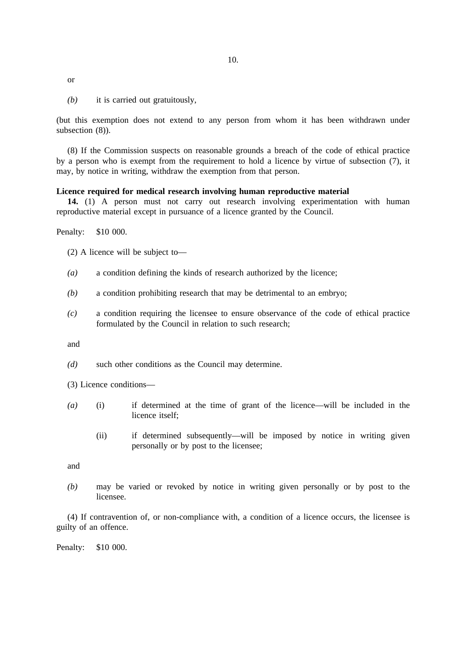or

*(b)* it is carried out gratuitously,

(but this exemption does not extend to any person from whom it has been withdrawn under subsection  $(8)$ ).

(8) If the Commission suspects on reasonable grounds a breach of the code of ethical practice by a person who is exempt from the requirement to hold a licence by virtue of subsection (7), it may, by notice in writing, withdraw the exemption from that person.

#### **Licence required for medical research involving human reproductive material**

**14.** (1) A person must not carry out research involving experimentation with human reproductive material except in pursuance of a licence granted by the Council.

Penalty: \$10 000.

- (2) A licence will be subject to—
- *(a)* a condition defining the kinds of research authorized by the licence;
- *(b)* a condition prohibiting research that may be detrimental to an embryo;
- *(c)* a condition requiring the licensee to ensure observance of the code of ethical practice formulated by the Council in relation to such research;

and

- *(d)* such other conditions as the Council may determine.
- (3) Licence conditions—
- *(a)* (i) if determined at the time of grant of the licence—will be included in the licence itself;
	- (ii) if determined subsequently—will be imposed by notice in writing given personally or by post to the licensee;

and

*(b)* may be varied or revoked by notice in writing given personally or by post to the licensee.

(4) If contravention of, or non-compliance with, a condition of a licence occurs, the licensee is guilty of an offence.

Penalty: \$10 000.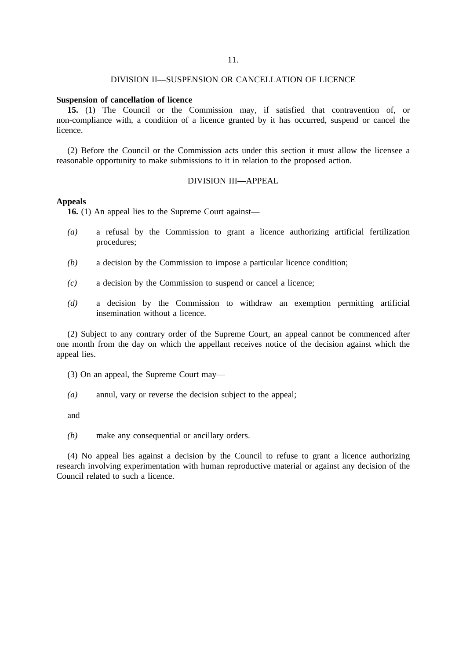#### DIVISION II—SUSPENSION OR CANCELLATION OF LICENCE

#### **Suspension of cancellation of licence**

**15.** (1) The Council or the Commission may, if satisfied that contravention of, or non-compliance with, a condition of a licence granted by it has occurred, suspend or cancel the licence.

(2) Before the Council or the Commission acts under this section it must allow the licensee a reasonable opportunity to make submissions to it in relation to the proposed action.

#### DIVISION III—APPEAL

#### **Appeals**

**16.** (1) An appeal lies to the Supreme Court against—

- *(a)* a refusal by the Commission to grant a licence authorizing artificial fertilization procedures;
- *(b)* a decision by the Commission to impose a particular licence condition;
- *(c)* a decision by the Commission to suspend or cancel a licence;
- *(d)* a decision by the Commission to withdraw an exemption permitting artificial insemination without a licence.

(2) Subject to any contrary order of the Supreme Court, an appeal cannot be commenced after one month from the day on which the appellant receives notice of the decision against which the appeal lies.

- (3) On an appeal, the Supreme Court may—
- *(a)* annul, vary or reverse the decision subject to the appeal;

and

*(b)* make any consequential or ancillary orders.

(4) No appeal lies against a decision by the Council to refuse to grant a licence authorizing research involving experimentation with human reproductive material or against any decision of the Council related to such a licence.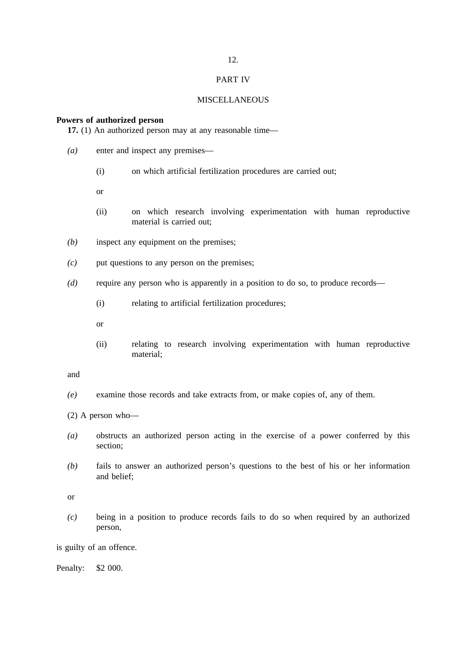#### PART IV

#### **MISCELLANEOUS**

#### **Powers of authorized person**

**17.** (1) An authorized person may at any reasonable time—

- *(a)* enter and inspect any premises—
	- (i) on which artificial fertilization procedures are carried out;
	- or
	- (ii) on which research involving experimentation with human reproductive material is carried out;
- *(b)* inspect any equipment on the premises;
- *(c)* put questions to any person on the premises;
- *(d)* require any person who is apparently in a position to do so, to produce records—
	- (i) relating to artificial fertilization procedures;
	- or
	- (ii) relating to research involving experimentation with human reproductive material;

and

- *(e)* examine those records and take extracts from, or make copies of, any of them.
- (2) A person who—
- *(a)* obstructs an authorized person acting in the exercise of a power conferred by this section;
- *(b)* fails to answer an authorized person's questions to the best of his or her information and belief;

or

*(c)* being in a position to produce records fails to do so when required by an authorized person,

is guilty of an offence.

Penalty: \$2 000.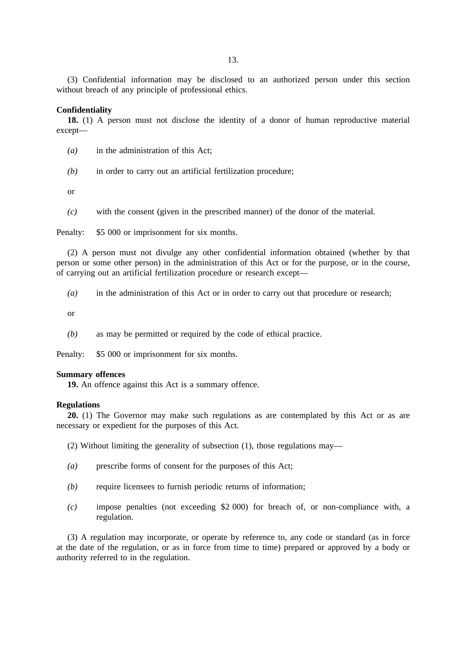(3) Confidential information may be disclosed to an authorized person under this section without breach of any principle of professional ethics.

#### **Confidentiality**

**18.** (1) A person must not disclose the identity of a donor of human reproductive material except—

- *(a)* in the administration of this Act;
- *(b)* in order to carry out an artificial fertilization procedure;

or

*(c)* with the consent (given in the prescribed manner) of the donor of the material.

Penalty: \$5 000 or imprisonment for six months.

(2) A person must not divulge any other confidential information obtained (whether by that person or some other person) in the administration of this Act or for the purpose, or in the course, of carrying out an artificial fertilization procedure or research except—

*(a)* in the administration of this Act or in order to carry out that procedure or research;

or

*(b)* as may be permitted or required by the code of ethical practice.

Penalty: \$5 000 or imprisonment for six months.

#### **Summary offences**

**19.** An offence against this Act is a summary offence.

#### **Regulations**

**20.** (1) The Governor may make such regulations as are contemplated by this Act or as are necessary or expedient for the purposes of this Act.

(2) Without limiting the generality of subsection (1), those regulations may—

- *(a)* prescribe forms of consent for the purposes of this Act;
- *(b)* require licensees to furnish periodic returns of information;
- *(c)* impose penalties (not exceeding \$2 000) for breach of, or non-compliance with, a regulation.

(3) A regulation may incorporate, or operate by reference to, any code or standard (as in force at the date of the regulation, or as in force from time to time) prepared or approved by a body or authority referred to in the regulation.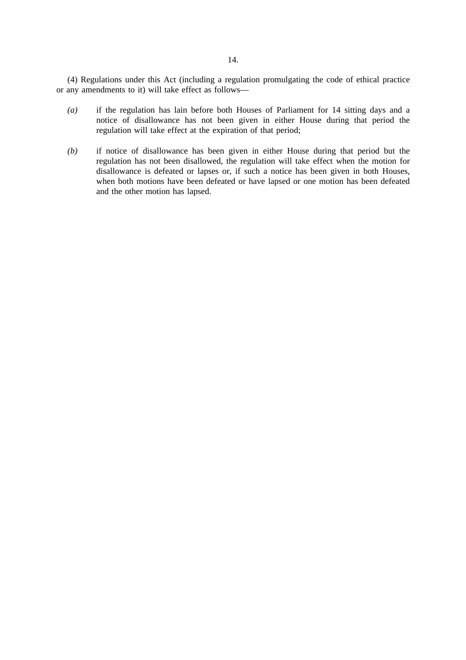(4) Regulations under this Act (including a regulation promulgating the code of ethical practice or any amendments to it) will take effect as follows—

- *(a)* if the regulation has lain before both Houses of Parliament for 14 sitting days and a notice of disallowance has not been given in either House during that period the regulation will take effect at the expiration of that period;
- *(b)* if notice of disallowance has been given in either House during that period but the regulation has not been disallowed, the regulation will take effect when the motion for disallowance is defeated or lapses or, if such a notice has been given in both Houses, when both motions have been defeated or have lapsed or one motion has been defeated and the other motion has lapsed.